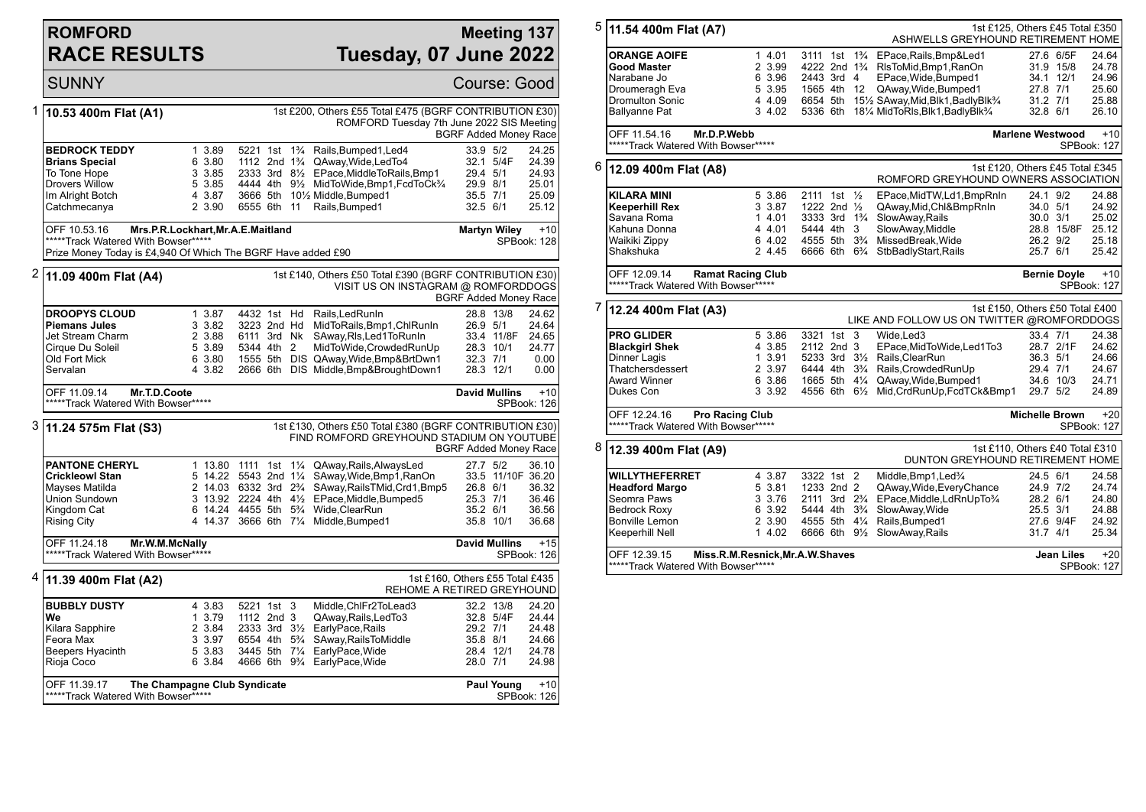## **ROMFORD RACE RESULTS**

## **Meeting 137 Tuesday, 07 June 2022**

|   | <b>SUNNY</b>                                                                                                               |                                                          |                                                                                                                               |                |                                                                                                                                                                                                                                                                            |                                                          |                                                   | Course: Good                                                   |  |  |  |
|---|----------------------------------------------------------------------------------------------------------------------------|----------------------------------------------------------|-------------------------------------------------------------------------------------------------------------------------------|----------------|----------------------------------------------------------------------------------------------------------------------------------------------------------------------------------------------------------------------------------------------------------------------------|----------------------------------------------------------|---------------------------------------------------|----------------------------------------------------------------|--|--|--|
| 1 | 10.53 400m Flat (A1)                                                                                                       |                                                          |                                                                                                                               |                | 1st £200, Others £55 Total £475 (BGRF CONTRIBUTION £30)<br>ROMFORD Tuesday 7th June 2022 SIS Meeting                                                                                                                                                                       |                                                          |                                                   | <b>BGRF Added Money Race</b>                                   |  |  |  |
|   | <b>BEDROCK TEDDY</b><br><b>Brians Special</b><br>To Tone Hope<br><b>Drovers Willow</b><br>Im Alright Botch<br>Catchmecanya | 1 3.89<br>6 3.80<br>3 3.85<br>5 3.85<br>4 3.87<br>2 3.90 | 6555 6th 11                                                                                                                   |                | 5221 1st 1 <sup>3</sup> / <sub>4</sub> Rails, Bumped 1, Led 4<br>1112 2nd 1 <sup>3</sup> / <sub>4</sub> QAway, Wide, Led To 4<br>2333 3rd 81/2 EPace, MiddleToRails, Bmp1<br>4444 4th 91/2 MidToWide, Bmp1, FcdToCk3/4<br>3666 5th 101/2 Middle, Bumped1<br>Rails, Bumped1 | 33.9 5/2<br>29.4 5/1<br>29.9 8/1<br>35.5 7/1<br>32.5 6/1 | 32.1 5/4F                                         | 24.25<br>24.39<br>24.93<br>25.01<br>25.09<br>25.12             |  |  |  |
|   | OFF 10.53.16<br>*****Track Watered With Bowser*****<br>Prize Money Today is £4,940 Of Which The BGRF Have added £90        | Mrs.P.R.Lockhart, Mr.A.E.Maitland                        |                                                                                                                               |                |                                                                                                                                                                                                                                                                            | <b>Martyn Wiley</b>                                      |                                                   | $+10$<br><b>SPBook: 128</b>                                    |  |  |  |
|   | 11.09 400m Flat (A4)                                                                                                       |                                                          |                                                                                                                               |                | 1st £140, Others £50 Total £390 (BGRF CONTRIBUTION £30)<br>VISIT US ON INSTAGRAM @ ROMFORDDOGS                                                                                                                                                                             |                                                          |                                                   | <b>BGRF Added Money Race</b>                                   |  |  |  |
|   | <b>DROOPYS CLOUD</b><br><b>Piemans Jules</b><br>Jet Stream Charm<br>Cirque Du Soleil<br>Old Fort Mick<br>Servalan          | 1 3.87<br>3 3.82<br>2 3.88<br>5 3.89<br>6 3.80<br>4 3.82 | 4432 1st Hd<br>3223 2nd Hd<br>6111 3rd Nk<br>5344 4th 2                                                                       |                | Rails, Led Run In<br>MidToRails, Bmp1, ChlRunIn<br>SAway, RIs, Led 1 To Run In<br>MidToWide, Crowded RunUp<br>1555 5th DIS QAway, Wide, Bmp& BrtDwn1<br>2666 6th DIS Middle, Bmp& Brought Down1                                                                            | 26.9 5/1<br>32.3 7/1                                     | 28.8 13/8<br>33.4 11/8F<br>28.3 10/1<br>28.3 12/1 | 24.62<br>24.64<br>24.65<br>24.77<br>0.00<br>0.00               |  |  |  |
|   | Mr.T.D.Coote<br>OFF 11.09.14<br>*****Track Watered With Bowser*****                                                        |                                                          |                                                                                                                               |                |                                                                                                                                                                                                                                                                            | <b>David Mullins</b>                                     |                                                   | $+10$<br>SPBook: 126                                           |  |  |  |
|   | 3  11.24 575m Flat (S3)                                                                                                    |                                                          |                                                                                                                               |                | 1st £130, Others £50 Total £380 (BGRF CONTRIBUTION £30)<br>FIND ROMFORD GREYHOUND STADIUM ON YOUTUBE                                                                                                                                                                       |                                                          |                                                   | <b>BGRF Added Money Race</b>                                   |  |  |  |
|   | <b>PANTONE CHERYL</b><br><b>Crickleowl Stan</b><br>Mayses Matilda<br>Union Sundown<br>Kingdom Cat<br><b>Rising City</b>    |                                                          | 1 13.80 1111 1st<br>5 14.22 5543 2nd 11/4<br>6 14.24 4455 5th 5%                                                              | $1\frac{1}{4}$ | QAway, Rails, Always Led<br>SAway, Wide, Bmp1, RanOn<br>2 14.03 6332 3rd 2 <sup>3</sup> /4 SAway, Rails TMid, Crd1, Bmp5<br>3 13.92 2224 4th 41/2 EPace, Middle, Bumped 5<br>Wide, ClearRun<br>4 14.37 3666 6th 71/4 Middle, Bumped1                                       | 27.7 5/2<br>26.8 6/1<br>25.3 7/1<br>35.2 6/1             | 35.8 10/1                                         | 36.10<br>33.5 11/10F 36.20<br>36.32<br>36.46<br>36.56<br>36.68 |  |  |  |
|   | OFF 11.24.18<br>*****Track Watered With Bowser*****                                                                        | Mr.W.M.McNally                                           |                                                                                                                               |                |                                                                                                                                                                                                                                                                            | <b>David Mullins</b>                                     |                                                   | $+15$<br>SPBook: 126                                           |  |  |  |
| 4 | 11.39 400m Flat (A2)                                                                                                       |                                                          |                                                                                                                               |                | REHOME A RETIRED GREYHOUND                                                                                                                                                                                                                                                 | 1st £160, Others £55 Total £435                          |                                                   |                                                                |  |  |  |
|   | <b>BUBBLY DUSTY</b><br>We<br>Kilara Sapphire<br>Feora Max<br>Beepers Hyacinth<br>Rioja Coco                                | 4 3.83<br>1 3.79<br>2 3.84<br>3 3.97<br>5 3.83<br>6 3.84 | 5221 1st 3<br>1112 2nd 3<br>2333 3rd 31/2<br>6554 4th 5 <sup>3</sup> / <sub>4</sub><br>4666 6th 9 <sup>3</sup> / <sub>4</sub> |                | Middle, ChlFr2ToLead3<br>QAway, Rails, Led To 3<br>EarlyPace, Rails<br>SAway, Rails To Middle<br>3445 5th 71/4 EarlyPace, Wide<br>EarlyPace, Wide                                                                                                                          | 29.2 7/1<br>35.8 8/1<br>28.0 7/1                         | 32.2 13/8<br>32.8 5/4F<br>28.4 12/1               | 24.20<br>24.44<br>24.48<br>24.66<br>24.78<br>24.98             |  |  |  |
|   | OFF 11.39.17<br>*****Track Watered With Bowser*****                                                                        | The Champagne Club Syndicate                             |                                                                                                                               |                |                                                                                                                                                                                                                                                                            |                                                          | Paul Young<br>$+10$<br>SPBook: 126                |                                                                |  |  |  |

| 5 |                                                                                 |                                                                               |                                                 |  |                |                                                                                        |                      |                     |                      |
|---|---------------------------------------------------------------------------------|-------------------------------------------------------------------------------|-------------------------------------------------|--|----------------|----------------------------------------------------------------------------------------|----------------------|---------------------|----------------------|
|   | 11.54 400m Flat (A7)                                                            | 1st £125, Others £45 Total £350<br>ASHWELLS GREYHOUND RETIREMENT HOME         |                                                 |  |                |                                                                                        |                      |                     |                      |
|   |                                                                                 |                                                                               |                                                 |  |                |                                                                                        |                      |                     |                      |
|   | <b>ORANGE AOIFE</b>                                                             | 1 4.01                                                                        | 3111 1st                                        |  |                | 1 <sup>3</sup> / <sub>4</sub> EPace, Rails, Bmp&Led1                                   |                      | 27.6 6/5F           | 24.64                |
|   | <b>Good Master</b>                                                              | 2 3.99                                                                        |                                                 |  |                | 4222 2nd 1 <sup>3</sup> / <sub>4</sub> RIsToMid, Bmp1, RanOn                           |                      | 31.9 15/8           | 24.78                |
|   | Narabane Jo                                                                     | 6 3.96                                                                        | 2443 3rd 4                                      |  |                | EPace, Wide, Bumped1                                                                   |                      | 34.1 12/1           | 24.96                |
|   | Droumeragh Eva<br>Dromulton Sonic                                               | 5 3.95                                                                        | 1565 4th                                        |  | - 12           | QAway, Wide, Bumped1                                                                   | 27.8 7/1             |                     | 25.60                |
|   | <b>Ballyanne Pat</b>                                                            | 4 4.09<br>3 4.02                                                              | 6654 5th<br>5336 6th                            |  |                | 151/2 SAway, Mid, Blk1, Badly Blk <sup>3</sup> /4<br>181/4 MidToRIs, Blk1, BadlyBlk3/4 | 31.2 7/1<br>32.8 6/1 |                     | 25.88<br>26.10       |
|   |                                                                                 |                                                                               |                                                 |  |                |                                                                                        |                      |                     |                      |
|   | OFF 11.54.16<br>Mr.D.P.Webb<br>*****Track Watered With Bowser*****              |                                                                               | <b>Marlene Westwood</b><br>$+10$<br>SPBook: 127 |  |                |                                                                                        |                      |                     |                      |
|   |                                                                                 |                                                                               |                                                 |  |                |                                                                                        |                      |                     |                      |
| 6 | 12.09 400m Flat (A8)                                                            | 1st £120. Others £45 Total £345<br>ROMFORD GREYHOUND OWNERS ASSOCIATION       |                                                 |  |                |                                                                                        |                      |                     |                      |
|   | <b>KILARA MINI</b>                                                              | 5 3.86                                                                        | 2111 1st $\frac{1}{2}$                          |  |                | EPace, MidTW, Ld1, BmpRnIn                                                             | 24.1 9/2             |                     | 24.88                |
|   | <b>Keeperhill Rex</b>                                                           | 3 3.87                                                                        | 1222 2nd $\frac{1}{2}$                          |  |                | QAway, Mid, Chl&BmpRnIn                                                                | 34.0 5/1             |                     | 24.92                |
|   | Savana Roma                                                                     | 1 4.01                                                                        | 3333 3rd 1 <sup>3</sup> / <sub>4</sub>          |  |                | SlowAway, Rails                                                                        | $30.0$ $3/1$         |                     | 25.02                |
|   | Kahuna Donna                                                                    | 4 4.01                                                                        | 5444 4th                                        |  | -3             | SlowAway, Middle                                                                       |                      | 28.8 15/8F          | 25.12                |
|   | Waikiki Zippy                                                                   | 6 4.02                                                                        | 4555 5th 3 <sup>3</sup> / <sub>4</sub>          |  |                | MissedBreak, Wide                                                                      | 26.2 9/2             |                     | 25.18                |
|   | Shakshuka                                                                       | 2 4.45                                                                        |                                                 |  |                | 6666 6th 6 <sup>3</sup> / <sub>4</sub> StbBadlyStart, Rails                            | 25.7 6/1             |                     | 25.42                |
|   | OFF 12.09.14<br><b>Ramat Racing Club</b><br>*****Track Watered With Bowser***** |                                                                               |                                                 |  |                |                                                                                        |                      | <b>Bernie Doyle</b> | $+10$<br>SPBook: 127 |
| 7 | 12.24 400m Flat (A3)                                                            | 1st £150, Others £50 Total £400<br>LIKE AND FOLLOW US ON TWITTER @ROMFORDDOGS |                                                 |  |                |                                                                                        |                      |                     |                      |
|   | <b>PRO GLIDER</b>                                                               | 5 3.86                                                                        | 3321 1st 3                                      |  |                | Wide, Led3                                                                             | 33.4 7/1             |                     | 24.38                |
|   | <b>Blackgirl Shek</b>                                                           | 4 3.85                                                                        | 2112 2nd 3                                      |  |                | EPace, MidToWide, Led1To3                                                              |                      | 28.7 2/1F           | 24.62                |
|   | Dinner Lagis                                                                    | 1 3.91                                                                        |                                                 |  |                | 5233 3rd 31/2 Rails, ClearRun                                                          | 36.3 5/1             |                     | 24.66                |
|   | Thatchersdessert                                                                | 2 3.97                                                                        |                                                 |  |                | 6444 4th 3 <sup>3</sup> / <sub>4</sub> Rails, Crowded RunUp                            | 29.4 7/1             |                     | 24.67                |
|   | <b>Award Winner</b>                                                             | 6 3.86                                                                        |                                                 |  |                | 1665 5th 41/4 QAway, Wide, Bumped1                                                     |                      | 34.6 10/3           | 24.71                |
|   | Dukes Con                                                                       | 3 3.92                                                                        |                                                 |  |                | 4556 6th 61/2 Mid, CrdRunUp, FcdTCk&Bmp1                                               | 29.7 5/2             |                     | 24.89                |
|   | OFF 12.24.16<br>*****Track Watered With Bowser*****                             | $+20$<br><b>Pro Racing Club</b><br><b>Michelle Brown</b><br>SPBook: 127       |                                                 |  |                |                                                                                        |                      |                     |                      |
| 8 | 12.39 400m Flat (A9)                                                            |                                                                               |                                                 |  |                | 1st £110, Others £40 Total £310<br>DUNTON GREYHOUND RETIREMENT HOME                    |                      |                     |                      |
|   | <b>WILLYTHEFERRET</b>                                                           | 4 3.87                                                                        | 3322 1st 2                                      |  |                | Middle, Bmp1, Led <sup>3</sup> / <sub>4</sub>                                          | 24.5 6/1             |                     | 24.58                |
|   | <b>Headford Margo</b>                                                           | 5 3.81                                                                        | 1233 2nd 2                                      |  |                | QAway, Wide, Every Chance                                                              | 24.9 7/2             |                     | 24.74                |
|   | Seomra Paws                                                                     | 3 3.76                                                                        | 2111 3rd 2 <sup>3</sup> / <sub>4</sub>          |  |                | EPace, Middle, LdRnUpTo3/4                                                             | 28.2 6/1             |                     | 24.80                |
|   | <b>Bedrock Roxy</b>                                                             | 6 3.92                                                                        | 5444 4th                                        |  | $3\frac{3}{4}$ | SlowAway, Wide                                                                         | 25.5 3/1             |                     | 24.88                |
|   | Bonville Lemon                                                                  | 2 3.90                                                                        | 4555 5th 41⁄4                                   |  |                | Rails, Bumped1                                                                         |                      | 27.6 9/4F           | 24.92                |
|   | Keeperhill Nell                                                                 | 1 4.02                                                                        | 6666 6th 91/2                                   |  |                | SlowAway, Rails                                                                        | $31.7$ 4/1           |                     | 25.34                |
|   | OFF 12.39.15                                                                    | Miss.R.M.Resnick, Mr.A.W.Shaves                                               |                                                 |  |                |                                                                                        |                      | <b>Jean Liles</b>   | $+20$                |
|   | *****Track Watered With Bowser*****                                             |                                                                               |                                                 |  |                |                                                                                        |                      |                     | SPBook: 127          |
|   |                                                                                 |                                                                               |                                                 |  |                |                                                                                        |                      |                     |                      |